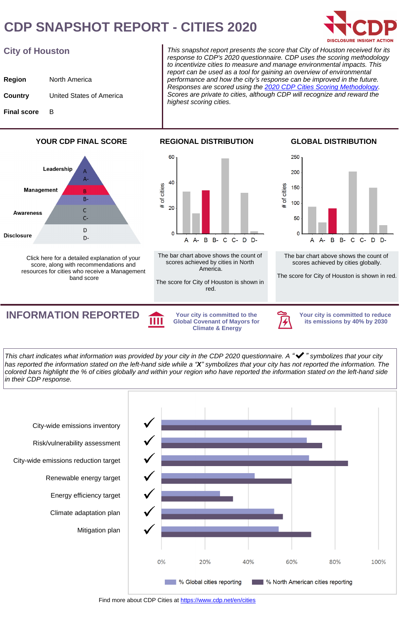## **CDP SNAPSHOT REPORT - CITIES 2020**



### **City of Houston**

| Region             | North America            |
|--------------------|--------------------------|
| Country            | United States of America |
| <b>Final score</b> | B                        |

This snapshot report presents the score that City of Houston received for its response to CDP's 2020 questionnaire. CDP uses the scoring methodology to incentivize cities to measure and manage environmental impacts. This report can be used as a tool for gaining an overview of environmental performance and how the city*'*s response can be improved in the future. Responses are scored using the [2020 CDP Cities Scoring Methodology](https://guidance.cdp.net/en/guidance?cid=16&ctype=theme&idtype=ThemeID&incchild=1µsite=0&otype=ScoringModule). Scores are private to cities, although CDP will recognize and reward the highest scoring cities.

### **YOUR CDP FINAL SCORE**



[Click here](https://6fefcbb86e61af1b2fc4-c70d8ead6ced550b4d987d7c03fcdd1d.ssl.cf3.rackcdn.com/comfy/cms/files/files/000/003/796/original/FINAL_2020_Next_Steps.pdf) for a detailed explanation of your score, along with recommendations and resources for cities who receive a Management band score



The bar chart above shows the count of scores achieved by cities in North America.

The score for City of Houston is shown in red.

#### **GLOBAL DISTRIBUTION**



The bar chart above shows the count of scores achieved by cities globally.

The score for City of Houston is shown in red.

**INFORMATION REPORTED** Your city is committed to the

**Global Covenant of Mayors for Climate & Energy**



**Your city is committed to reduce its emissions by 40% by 2030**

This chart indicates what information was provided by your city in the CDP 2020 questionnaire. A *"*✔*"* symbolizes that your city has reported the information stated on the left-hand side while a *"***X***"* symbolizes that your city has not reported the information. The colored bars highlight the % of cities globally and within your region who have reported the information stated on the left-hand side in their CDP response.



Find more about CDP Cities at<https://www.cdp.net/en/cities>